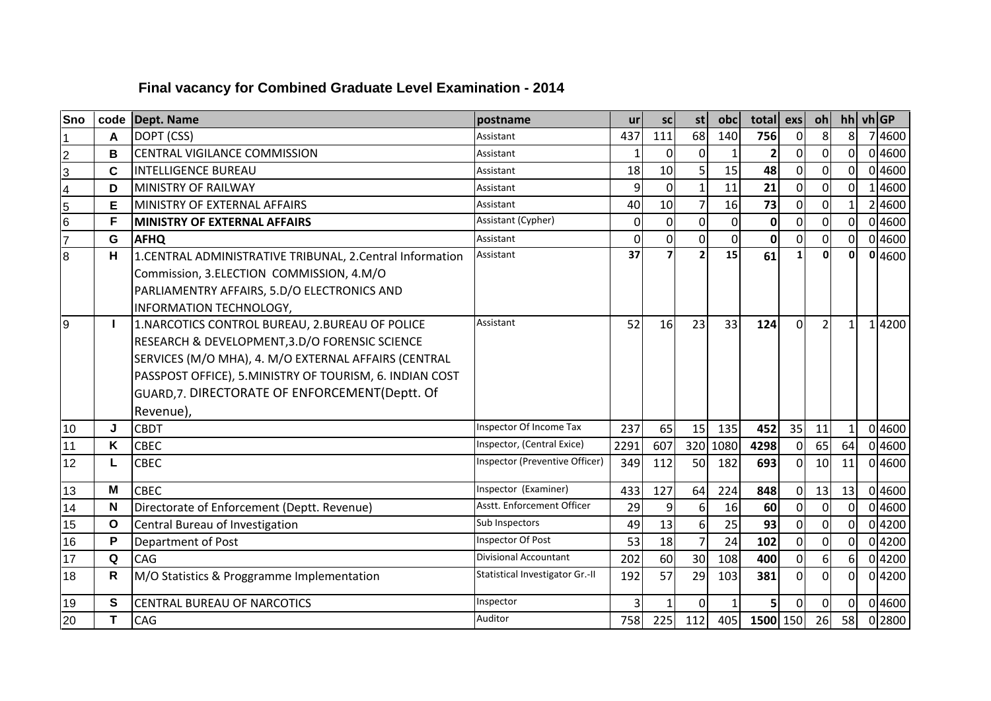## **Final vacancy for Combined Graduate Level Examination - 2014**

| <b>Sno</b>      | code         | <b>Dept. Name</b>                                                                                                                                                                                                                                                                    | postname                        | <b>ur</b>   | <b>SC</b>      | st                       | obc            | total          | exs            | oh             | $hh$ vh GP     |        |
|-----------------|--------------|--------------------------------------------------------------------------------------------------------------------------------------------------------------------------------------------------------------------------------------------------------------------------------------|---------------------------------|-------------|----------------|--------------------------|----------------|----------------|----------------|----------------|----------------|--------|
|                 | A            | DOPT (CSS)                                                                                                                                                                                                                                                                           | Assistant                       | 437         | 111            | 68                       | 140            | 756            | $\Omega$       | 8              | 8 <sup>1</sup> | 74600  |
| $\overline{2}$  | B            | <b>CENTRAL VIGILANCE COMMISSION</b>                                                                                                                                                                                                                                                  | Assistant                       | 1           | $\Omega$       | $\mathbf{0}$             | 1              | $\overline{2}$ | ΩI             | 0              | $\Omega$       | 0 4600 |
| 3               | C            | <b>INTELLIGENCE BUREAU</b>                                                                                                                                                                                                                                                           | Assistant                       | 18          | 10             | 5                        | 15             | 48             | $\Omega$       | 0              | <sub>0</sub>   | 0 4600 |
| 4               | D            | <b>MINISTRY OF RAILWAY</b>                                                                                                                                                                                                                                                           | Assistant                       | 9           | 0              | $\mathbf{1}$             | 11             | 21             | ΩI             | 0              | $\overline{0}$ | 4600   |
| 5               | Е            | MINISTRY OF EXTERNAL AFFAIRS                                                                                                                                                                                                                                                         | Assistant                       | 40          | 10             | $\overline{7}$           | 16             | 73             | $\Omega$       | $\Omega$       | $\mathbf{1}$   | 2 4600 |
| $6\overline{6}$ | F            | <b>MINISTRY OF EXTERNAL AFFAIRS</b>                                                                                                                                                                                                                                                  | Assistant (Cypher)              | $\mathbf 0$ | 0              | $\mathbf{0}$             | $\overline{0}$ | $\mathbf 0$    | ΩI             | $\Omega$       | $\overline{0}$ | 0 4600 |
| $\overline{7}$  | G            | <b>AFHQ</b>                                                                                                                                                                                                                                                                          | Assistant                       | $\mathbf 0$ | $\overline{0}$ | $\overline{0}$           | $\Omega$       | $\mathbf 0$    | $\Omega$       | $\overline{0}$ | $\overline{0}$ | 0 4600 |
| $\overline{8}$  | н            | 1.CENTRAL ADMINISTRATIVE TRIBUNAL, 2.Central Information<br>Commission, 3.ELECTION COMMISSION, 4.M/O<br>PARLIAMENTRY AFFAIRS, 5.D/O ELECTRONICS AND<br>INFORMATION TECHNOLOGY,                                                                                                       | Assistant                       | 37          | $\overline{z}$ | $\overline{\phantom{a}}$ | 15             | 61             |                | $\mathbf{0}$   | 0l             | 0 4600 |
| 9               |              | 1. NARCOTICS CONTROL BUREAU, 2. BUREAU OF POLICE<br>RESEARCH & DEVELOPMENT, 3.D/O FORENSIC SCIENCE<br>SERVICES (M/O MHA), 4. M/O EXTERNAL AFFAIRS (CENTRAL<br>PASSPOST OFFICE), 5.MINISTRY OF TOURISM, 6. INDIAN COST<br>GUARD, 7. DIRECTORATE OF ENFORCEMENT(Deptt. Of<br>Revenue), | Assistant                       | 52          | 16             | 23                       | 33             | 124            | $\Omega$       | $\overline{2}$ | $\mathbf{1}$   | 14200  |
| 10              | J            | <b>CBDT</b>                                                                                                                                                                                                                                                                          | Inspector Of Income Tax         | 237         | 65             | 15                       | 135            | 452            | 35             | 11             | $1\vert$       | 0 4600 |
| 11              | Κ            | <b>CBEC</b>                                                                                                                                                                                                                                                                          | Inspector, (Central Exice)      | 2291        | 607            | 320                      | 1080           | 4298           | 0              | 65             | 64             | 0 4600 |
| 12              | L            | <b>CBEC</b>                                                                                                                                                                                                                                                                          | Inspector (Preventive Officer)  | 349         | 112            | 50                       | 182            | 693            | $\Omega$       | 10             | 11             | 0 4600 |
| 13              | M            | <b>CBEC</b>                                                                                                                                                                                                                                                                          | Inspector (Examiner)            | 433         | 127            | 64                       | 224            | 848            | $\Omega$       | 13             | 13             | 04600  |
| 14              | N            | Directorate of Enforcement (Deptt. Revenue)                                                                                                                                                                                                                                          | Asstt. Enforcement Officer      | 29          | 9              | 6                        | 16             | 60             | ΩI             | $\mathbf 0$    | $\Omega$       | 0 4600 |
| 15              | $\mathbf{o}$ | Central Bureau of Investigation                                                                                                                                                                                                                                                      | Sub Inspectors                  | 49          | 13             | 6                        | 25             | 93             | $\overline{0}$ | $\overline{0}$ | $\overline{0}$ | 04200  |
| 16              | P            | Department of Post                                                                                                                                                                                                                                                                   | Inspector Of Post               | 53          | 18             | $\overline{7}$           | 24             | 102            | $\Omega$       | $\overline{0}$ | $\Omega$       | 04200  |
| 17              | Q            | <b>CAG</b>                                                                                                                                                                                                                                                                           | Divisional Accountant           | 202         | 60             | 30                       | 108            | 400            | $\Omega$       | 6 <sup>1</sup> | 6 <sup>1</sup> | 04200  |
| 18              | R            | M/O Statistics & Proggramme Implementation                                                                                                                                                                                                                                           | Statistical Investigator Gr.-II | 192         | 57             | 29                       | 103            | 381            | $\Omega$       | $\Omega$       | $\Omega$       | 04200  |
| 19              | S            | <b>CENTRAL BUREAU OF NARCOTICS</b>                                                                                                                                                                                                                                                   | Inspector                       | 3           |                | $\Omega$                 |                | 5              | $\Omega$       | $\Omega$       | 0I             | 0 4600 |
| 20              | T            | <b>CAG</b>                                                                                                                                                                                                                                                                           | Auditor                         | 758         | 225            | 112                      | 405            | 1500 150       |                | 26             | 58             | 0 2800 |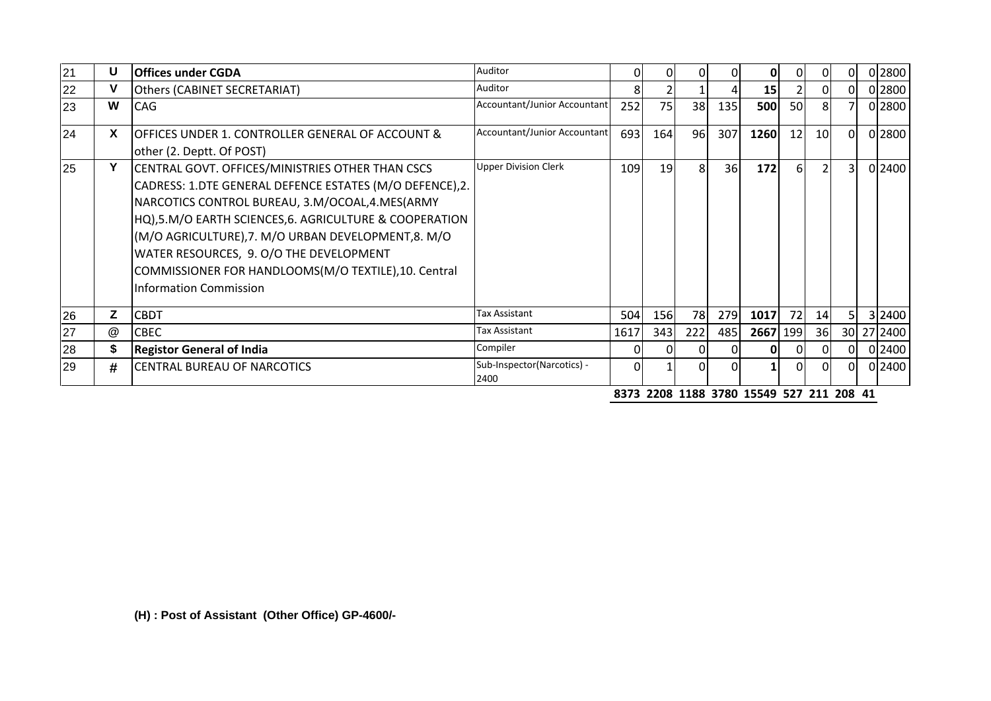| 21 | U  | <b>Offices under CGDA</b>                                                                                                                                                                                                                                                                                                                                                                                          | Auditor                            | 01   | ΟI        |     | 01  | OI   |     | ΟI             | ΩI | 0 2800     |
|----|----|--------------------------------------------------------------------------------------------------------------------------------------------------------------------------------------------------------------------------------------------------------------------------------------------------------------------------------------------------------------------------------------------------------------------|------------------------------------|------|-----------|-----|-----|------|-----|----------------|----|------------|
| 22 | v  | <b>Others (CABINET SECRETARIAT)</b>                                                                                                                                                                                                                                                                                                                                                                                | Auditor                            | 81   |           |     |     | 15   |     | ΟI             | ΟI | 0 2800     |
| 23 | W  | <b>CAG</b>                                                                                                                                                                                                                                                                                                                                                                                                         | Accountant/Junior Accountant       | 252  | <b>75</b> | 38  | 135 | 500  | 50I | 81             |    | 0 2800     |
| 24 | X  | <b>JOFFICES UNDER 1. CONTROLLER GENERAL OF ACCOUNT &amp;</b><br>other (2. Deptt. Of POST)                                                                                                                                                                                                                                                                                                                          | Accountant/Junior Accountant       | 693  | 164       | 96  | 307 | 1260 | 12  | 10             | 0I | 0 2800     |
| 25 | Y  | CENTRAL GOVT. OFFICES/MINISTRIES OTHER THAN CSCS<br>CADRESS: 1.DTE GENERAL DEFENCE ESTATES (M/O DEFENCE), 2.<br>NARCOTICS CONTROL BUREAU, 3.M/OCOAL,4.MES(ARMY<br>HQ),5.M/O EARTH SCIENCES,6. AGRICULTURE & COOPERATION<br>(M/O AGRICULTURE), 7. M/O URBAN DEVELOPMENT, 8. M/O<br>WATER RESOURCES, 9. O/O THE DEVELOPMENT<br>COMMISSIONER FOR HANDLOOMS(M/O TEXTILE), 10. Central<br><b>Information Commission</b> | <b>Upper Division Clerk</b>        | 109  | 19        | -81 | 36  | 172  | 61  | $\overline{2}$ | 31 | 0 2400     |
| 26 | Z  | <b>CBDT</b>                                                                                                                                                                                                                                                                                                                                                                                                        | Tax Assistant                      | 504  | 156       | 78  | 279 | 1017 | 72  | 14             | 51 | 3 2400     |
| 27 | @  | <b>CBEC</b>                                                                                                                                                                                                                                                                                                                                                                                                        | Tax Assistant                      | 1617 | 343       | 222 | 485 | 2667 | 199 | 36             |    | 30 27 2400 |
| 28 | \$ | <b>Registor General of India</b>                                                                                                                                                                                                                                                                                                                                                                                   | Compiler                           | ΟI   |           |     |     |      |     |                | ΩL | 0 2400     |
| 29 | #  | <b>CENTRAL BUREAU OF NARCOTICS</b>                                                                                                                                                                                                                                                                                                                                                                                 | Sub-Inspector(Narcotics) -<br>2400 | ΩI   |           |     |     |      |     | ΩI             | ΩI | 0 2400     |

**8373 2208 1188 3780 15549 527 211 208 41**

**(H) : Post of Assistant (Other Office) GP-4600/-**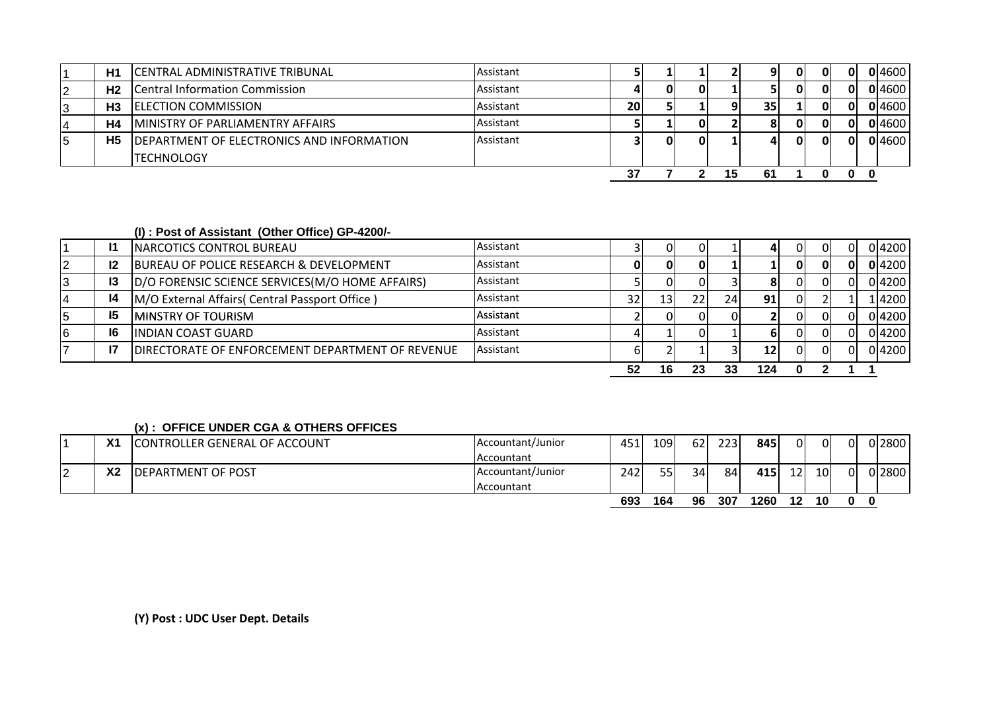|    | H1             | CENTRAL ADMINISTRATIVE TRIBUNAL                   | Assistant |    |    |    | Q I             |    | 01 | ΩI | 0 4600 |
|----|----------------|---------------------------------------------------|-----------|----|----|----|-----------------|----|----|----|--------|
| 12 | H <sub>2</sub> | <b>Central Information Commission</b>             | Assistant |    |    |    |                 |    | 01 | ΟI | 0 4600 |
| I3 | H <sub>3</sub> | <b>IELECTION COMMISSION</b>                       | Assistant | 20 |    |    | 35 <sub>1</sub> |    | 01 | 01 | 0 4600 |
| 14 | H <sub>4</sub> | <b>MINISTRY OF PARLIAMENTRY AFFAIRS</b>           | Assistant |    |    | ΩI | 81              |    | 01 | ΟI | 0 4600 |
| 15 | H <sub>5</sub> | <b>IDEPARTMENT OF ELECTRONICS AND INFORMATION</b> | Assistant |    | ΩI | ΩI | 4               | ΩI | Οl | 0I | 0 4600 |
|    |                | <b>ITECHNOLOGY</b>                                |           |    |    |    |                 |    |    |    |        |
|    |                |                                                   |           |    |    |    | 61              |    |    |    |        |

## **(I) : Post of Assistant (Other Office) GP-4200/-**

| 16 | -16<br>- 17 | <b>INDIAN COAST GUARD</b><br>DIRECTORATE OF ENFORCEMENT DEPARTMENT OF REVENUE | Assistant<br>Assistant |                 |                 |    |    | 12 | 01<br>ΟI | าเ | 04200<br>0 4200 |
|----|-------------|-------------------------------------------------------------------------------|------------------------|-----------------|-----------------|----|----|----|----------|----|-----------------|
| 15 | 15          | <b>MINSTRY OF TOURISM</b>                                                     | Assistant              |                 |                 |    |    |    | ΟI       | ΩI | 04200           |
|    | 14          | M/O External Affairs (Central Passport Office)                                | Assistant              | 32 <sub>1</sub> | 13 <sub>1</sub> | 22 | 24 | 91 |          |    | 1 4200          |
| IJ | <b>13</b>   | D/O FORENSIC SCIENCE SERVICES(M/O HOME AFFAIRS)                               | Assistant              |                 |                 |    |    | oι | 01       |    | 04200           |
|    | 12          | BUREAU OF POLICE RESEARCH & DEVELOPMENT                                       | Assistant              |                 |                 |    |    |    | 01       | ΩI | 0 4200          |
|    |             | <b>NARCOTICS CONTROL BUREAU</b>                                               | Assistant              |                 |                 |    |    |    | ΟI       |    | 04200           |

## **(x) : OFFICE UNDER CGA & OTHERS OFFICES**

|    | v,<br>$\sim$   | CONTROLLER GENERAL OF ACCOUNT | Accountant/Junior | 45. | 1091 | 62 | 2231 | 845  | 01              | 0               | 01 | 0 2800 |
|----|----------------|-------------------------------|-------------------|-----|------|----|------|------|-----------------|-----------------|----|--------|
|    |                |                               | Accountant        |     |      |    |      |      |                 |                 |    |        |
| I2 | X <sub>2</sub> | <b>IDEPARTMENT OF POST</b>    | Accountant/Junior | 242 | 55   | 34 | 84   | 415  | 12 <sub>l</sub> | 10 <sup>1</sup> | 0I | 0 2800 |
|    |                |                               | Accountant        |     |      |    |      |      |                 |                 |    |        |
|    |                |                               |                   | 693 | 164  | 96 | 307  | 1260 | 12              | 10              | 0  | 0      |